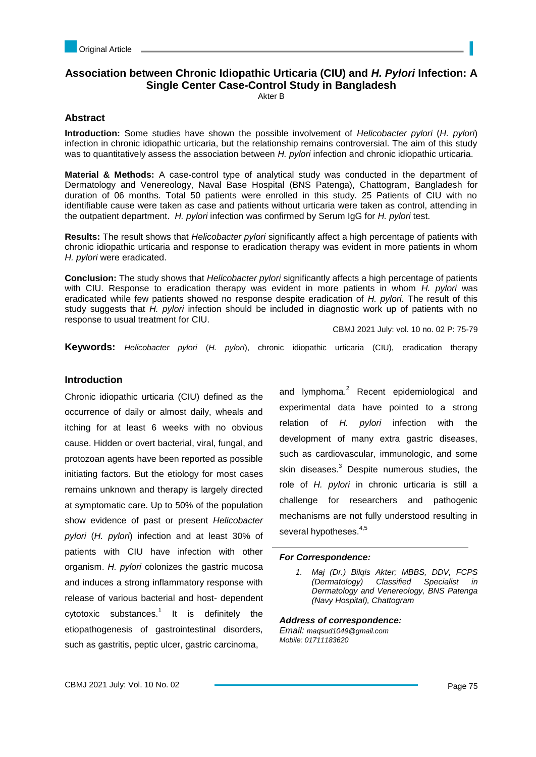# **Association between Chronic Idiopathic Urticaria (CIU) and** *H. Pylori* **Infection: A Single Center Case-Control Study in Bangladesh**

Akter B

# **Abstract**

**Introduction:** Some studies have shown the possible involvement of *Helicobacter pylori* (*H. pylori*) infection in chronic idiopathic urticaria, but the relationship remains controversial. The aim of this study was to quantitatively assess the association between *H. pylori* infection and chronic idiopathic urticaria.

**Material & Methods:** A case-control type of analytical study was conducted in the department of Dermatology and Venereology, Naval Base Hospital (BNS Patenga), Chattogram, Bangladesh for duration of 06 months. Total 50 patients were enrolled in this study. 25 Patients of CIU with no identifiable cause were taken as case and patients without urticaria were taken as control, attending in the outpatient department. *H. pylori* infection was confirmed by Serum IgG for *H. pylori* test.

**Results:** The result shows that *Helicobacter pylori* significantly affect a high percentage of patients with chronic idiopathic urticaria and response to eradication therapy was evident in more patients in whom *H. pylori* were eradicated.

**Conclusion:** The study shows that *Helicobacter pylori* significantly affects a high percentage of patients with CIU. Response to eradication therapy was evident in more patients in whom *H. pylori* was eradicated while few patients showed no response despite eradication of *H. pylori*. The result of this study suggests that *H. pylori* infection should be included in diagnostic work up of patients with no response to usual treatment for CIU.

CBMJ 2021 July: vol. 10 no. 02 P: 75-79

**Keywords:** *Helicobacter pylori* (*H. pylori*), chronic idiopathic urticaria (CIU), eradication therapy

# **Introduction**

Chronic idiopathic urticaria (CIU) defined as the occurrence of daily or almost daily, wheals and itching for at least 6 weeks with no obvious cause. Hidden or overt bacterial, viral, fungal, and protozoan agents have been reported as possible initiating factors. But the etiology for most cases remains unknown and therapy is largely directed at symptomatic care. Up to 50% of the population show evidence of past or present *Helicobacter pylori* (*H. pylori*) infection and at least 30% of patients with CIU have infection with other organism. *H. pylori* colonizes the gastric mucosa and induces a strong inflammatory response with release of various bacterial and host- dependent cytotoxic substances. $1$  It is definitely the etiopathogenesis of gastrointestinal disorders, such as gastritis, peptic ulcer, gastric carcinoma,

and lymphoma.<sup>2</sup> Recent epidemiological and experimental data have pointed to a strong relation of *H. pylori* infection with the development of many extra gastric diseases, such as cardiovascular, immunologic, and some skin diseases.<sup>3</sup> Despite numerous studies. the role of *H. pylori* in chronic urticaria is still a challenge for researchers and pathogenic mechanisms are not fully understood resulting in several hypotheses.<sup>4,5</sup>

## *For Correspondence:*

*Address of correspondence: Email: maqsud1049@gmail.com*

*Mobile: 01711183620*

*<sup>1.</sup> Maj (Dr.) Bilqis Akter; MBBS, DDV, FCPS (Dermatology) Classified Specialist in Dermatology and Venereology, BNS Patenga (Navy Hospital), Chattogram*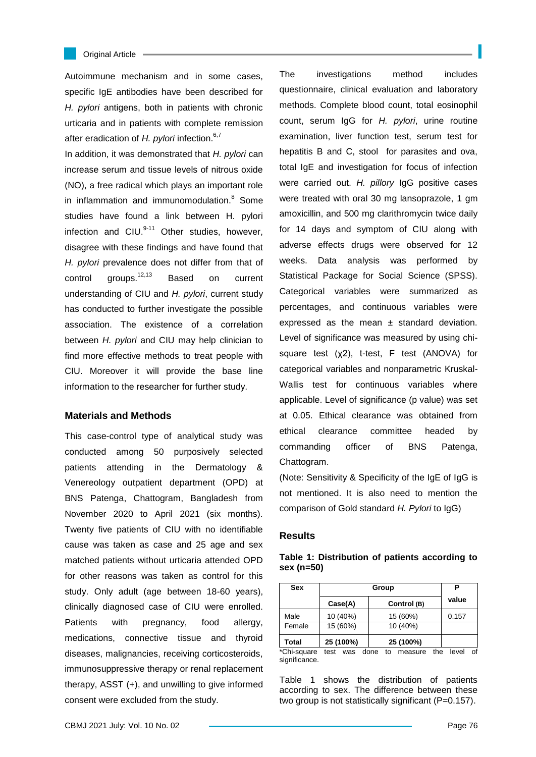#### Original Article

Autoimmune mechanism and in some cases, specific IgE antibodies have been described for *H. pylori* antigens, both in patients with chronic urticaria and in patients with complete remission after eradication of *H. pylori* infection.<sup>6,7</sup>

In addition, it was demonstrated that *H. pylori* can increase serum and tissue levels of nitrous oxide (NO), a free radical which plays an important role in inflammation and immunomodulation.<sup>8</sup> Some studies have found a link between H. pylori infection and CIU. $^{9-11}$  Other studies, however, disagree with these findings and have found that *H. pylori* prevalence does not differ from that of control groups.<sup>12,13</sup> Based on current understanding of CIU and *H. pylori*, current study has conducted to further investigate the possible association. The existence of a correlation between *H. pylori* and CIU may help clinician to find more effective methods to treat people with CIU. Moreover it will provide the base line information to the researcher for further study.

### **Materials and Methods**

This case-control type of analytical study was conducted among 50 purposively selected patients attending in the Dermatology & Venereology outpatient department (OPD) at BNS Patenga, Chattogram, Bangladesh from November 2020 to April 2021 (six months). Twenty five patients of CIU with no identifiable cause was taken as case and 25 age and sex matched patients without urticaria attended OPD for other reasons was taken as control for this study. Only adult (age between 18-60 years), clinically diagnosed case of CIU were enrolled. Patients with pregnancy, food allergy, medications, connective tissue and thyroid diseases, malignancies, receiving corticosteroids, immunosuppressive therapy or renal replacement therapy, ASST (+), and unwilling to give informed consent were excluded from the study.

The investigations method includes questionnaire, clinical evaluation and laboratory methods. Complete blood count, total eosinophil count, serum IgG for *H. pylori*, urine routine examination, liver function test, serum test for hepatitis B and C, stool for parasites and ova, total IgE and investigation for focus of infection were carried out. *H. pillory* IgG positive cases were treated with oral 30 mg lansoprazole, 1 gm amoxicillin, and 500 mg clarithromycin twice daily for 14 days and symptom of CIU along with adverse effects drugs were observed for 12 weeks. Data analysis was performed by Statistical Package for Social Science (SPSS). Categorical variables were summarized as percentages, and continuous variables were expressed as the mean  $\pm$  standard deviation. Level of significance was measured by using chisquare test (χ2), t-test, F test (ANOVA) for categorical variables and nonparametric Kruskal-Wallis test for continuous variables where applicable. Level of significance (p value) was set at 0.05. Ethical clearance was obtained from ethical clearance committee headed by commanding officer of BNS Patenga, Chattogram.

(Note: Sensitivity & Specificity of the IgE of IgG is not mentioned. It is also need to mention the comparison of Gold standard *H. Pylori* to IgG)

### **Results**

| <b>Sex</b>     | Group          |                      |            | Р     |    |
|----------------|----------------|----------------------|------------|-------|----|
|                | Case(A)        | Control (B)          |            | value |    |
| Male           | 10 (40%)       | 15 (60%)             |            | 0.157 |    |
| Female         | 15 (60%)       | 10 (40%)             |            |       |    |
| <b>Total</b>   | 25 (100%)      | 25 (100%)            |            |       |    |
| $*$ Chi cauaro | $+0e+$<br>1100 | dono<br>t٨<br>maxsum | $+ h \sim$ | امسا  | σt |

**Table 1: Distribution of patients according to sex (n=50)**

hi-square test was done to measure the significance.

Table 1 shows the distribution of patients according to sex. The difference between these two group is not statistically significant (P=0.157).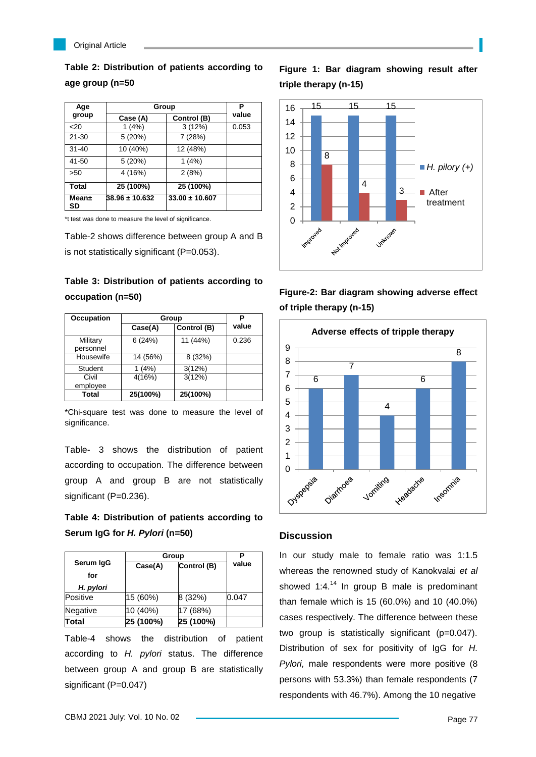

**Table 2: Distribution of patients according to age group (n=50**

| Age          | Group          |                    | Р     |
|--------------|----------------|--------------------|-------|
| group        | Case (A)       | Control (B)        | value |
| 20           | 1(4%)          | 3(12%)             | 0.053 |
| $21 - 30$    | 5(20%)         | 7 (28%)            |       |
| $31 - 40$    | 10 (40%)       | 12 (48%)           |       |
| 41-50        | 5(20%)         | 1(4%)              |       |
| >50          | 4 (16%)        | 2(8%)              |       |
| <b>Total</b> | 25 (100%)      | 25 (100%)          |       |
| Mean±<br>SD  | 38.96 ± 10.632 | $33.00 \pm 10.607$ |       |

\*t test was done to measure the level of significance.

Table-2 shows difference between group A and B is not statistically significant (P=0.053).

# **Table 3: Distribution of patients according to occupation (n=50)**

| Occupation            | Group    |             | P     |
|-----------------------|----------|-------------|-------|
|                       | Case(A)  | Control (B) | value |
| Military<br>personnel | 6(24%)   | 11 (44%)    | 0.236 |
| Housewife             | 14 (56%) | 8 (32%)     |       |
| Student               | (4%)     | 3(12%)      |       |
| Civil<br>employee     | 4(16%)   | 3(12%)      |       |
| Total                 | 25(100%) | 25(100%)    |       |

\*Chi-square test was done to measure the level of significance.

Table- 3 shows the distribution of patient according to occupation. The difference between group A and group B are not statistically significant (P=0.236).

**Table 4: Distribution of patients according to Serum IgG for** *H. Pylori* **(n=50)**

|                  | Group     |             |       |
|------------------|-----------|-------------|-------|
| Serum IgG<br>for | Case(A)   | Control (B) | value |
| H. pylori        |           |             |       |
| Positive         | 15 (60%)  | 8 (32%)     | 0.047 |
| Negative         | 10 (40%)  | 17 (68%)    |       |
| Total            | 25 (100%) | 25 (100%)   |       |

Table-4 shows the distribution of patient according to *H. pylori* status. The difference between group A and group B are statistically significant (P=0.047)

**Figure 1: Bar diagram showing result after triple therapy (n-15)**



**Figure-2: Bar diagram showing adverse effect of triple therapy (n-15)**



## **Discussion**

In our study male to female ratio was 1:1.5 whereas the renowned study of Kanokvalai *et al* showed  $1:4.^{14}$  In group B male is predominant than female which is 15 (60.0%) and 10 (40.0%) cases respectively. The difference between these two group is statistically significant (p=0.047). Distribution of sex for positivity of IgG for *H. Pylori,* male respondents were more positive (8 persons with 53.3%) than female respondents (7 respondents with 46.7%). Among the 10 negative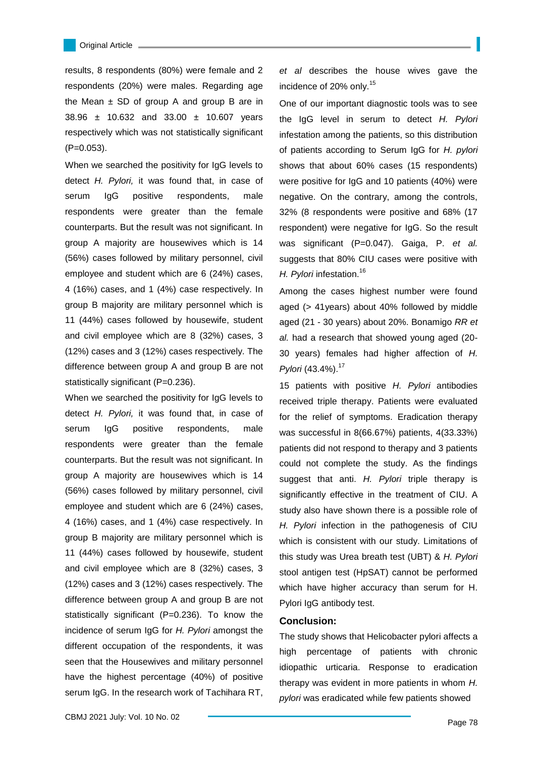results, 8 respondents (80%) were female and 2 respondents (20%) were males. Regarding age the Mean  $\pm$  SD of group A and group B are in 38.96 ± 10.632 and 33.00 ± 10.607 years respectively which was not statistically significant (P=0.053).

When we searched the positivity for IgG levels to detect *H. Pylori,* it was found that, in case of serum IgG positive respondents, male respondents were greater than the female counterparts. But the result was not significant. In group A majority are housewives which is 14 (56%) cases followed by military personnel, civil employee and student which are 6 (24%) cases, 4 (16%) cases, and 1 (4%) case respectively. In group B majority are military personnel which is 11 (44%) cases followed by housewife, student and civil employee which are 8 (32%) cases, 3 (12%) cases and 3 (12%) cases respectively. The difference between group A and group B are not statistically significant (P=0.236).

When we searched the positivity for IgG levels to detect *H. Pylori,* it was found that, in case of serum IgG positive respondents, male respondents were greater than the female counterparts. But the result was not significant. In group A majority are housewives which is 14 (56%) cases followed by military personnel, civil employee and student which are 6 (24%) cases, 4 (16%) cases, and 1 (4%) case respectively. In group B majority are military personnel which is 11 (44%) cases followed by housewife, student and civil employee which are 8 (32%) cases, 3 (12%) cases and 3 (12%) cases respectively. The difference between group A and group B are not statistically significant (P=0.236). To know the incidence of serum IgG for *H. Pylori* amongst the different occupation of the respondents, it was seen that the Housewives and military personnel have the highest percentage (40%) of positive serum IgG. In the research work of Tachihara RT,

*et al* describes the house wives gave the incidence of 20% only.<sup>15</sup>

One of our important diagnostic tools was to see the IgG level in serum to detect *H. Pylori* infestation among the patients, so this distribution of patients according to Serum IgG for *H. pylori* shows that about 60% cases (15 respondents) were positive for IgG and 10 patients (40%) were negative. On the contrary, among the controls, 32% (8 respondents were positive and 68% (17 respondent) were negative for IgG. So the result was significant (P=0.047). Gaiga, P. *et al.* suggests that 80% CIU cases were positive with *H. Pylori* infestation.<sup>16</sup>

Among the cases highest number were found aged (> 41years) about 40% followed by middle aged (21 - 30 years) about 20%. Bonamigo *RR et al.* had a research that showed young aged (20- 30 years) females had higher affection of *H. Pylori* (43.4%).<sup>17</sup>

15 patients with positive *H. Pylori* antibodies received triple therapy. Patients were evaluated for the relief of symptoms. Eradication therapy was successful in 8(66.67%) patients, 4(33.33%) patients did not respond to therapy and 3 patients could not complete the study. As the findings suggest that anti. *H. Pylori* triple therapy is significantly effective in the treatment of CIU. A study also have shown there is a possible role of *H. Pylori* infection in the pathogenesis of CIU which is consistent with our study. Limitations of this study was Urea breath test (UBT) & *H. Pylori* stool antigen test (HpSAT) cannot be performed which have higher accuracy than serum for H. Pylori IgG antibody test.

### **Conclusion:**

The study shows that Helicobacter pylori affects a high percentage of patients with chronic idiopathic urticaria. Response to eradication therapy was evident in more patients in whom *H. pylori* was eradicated while few patients showed